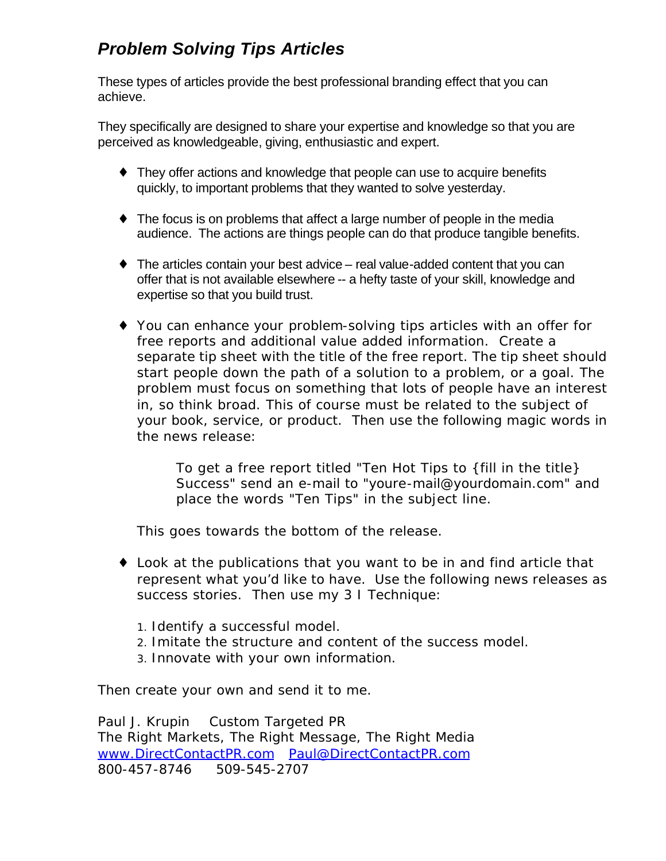# *Problem Solving Tips Articles*

These types of articles provide the best professional branding effect that you can achieve.

They specifically are designed to share your expertise and knowledge so that you are perceived as knowledgeable, giving, enthusiastic and expert.

- ♦ They offer actions and knowledge that people can use to acquire benefits quickly, to important problems that they wanted to solve yesterday.
- $\bullet$  The focus is on problems that affect a large number of people in the media audience. The actions are things people can do that produce tangible benefits.
- $\bullet$  The articles contain your best advice real value-added content that you can offer that is not available elsewhere -- a hefty taste of your skill, knowledge and expertise so that you build trust.
- ♦ You can enhance your problem-solving tips articles with an offer for free reports and additional value added information. Create a separate tip sheet with the title of the free report. The tip sheet should start people down the path of a solution to a problem, or a goal. The problem must focus on something that lots of people have an interest in, so think broad. This of course must be related to the subject of your book, service, or product. Then use the following magic words in the news release:

*To get a free report titled "Ten Hot Tips to {fill in the title} Success" send an e-mail to "youre-mail@yourdomain.com" and place the words "Ten Tips" in the subject line.* 

This goes towards the bottom of the release.

- ♦ Look at the publications that you want to be in and find article that represent what you'd like to have. Use the following news releases as success stories. Then use my 3 I Technique:
	- 1. Identify a successful model.
	- 2. Imitate the structure and content of the success model.
	- 3. Innovate with your own information.

Then create your own and send it to me.

Paul J. Krupin Custom Targeted PR The Right Markets, The Right Message, The Right Media www.DirectContactPR.com Paul@DirectContactPR.com 800-457-8746 509-545-2707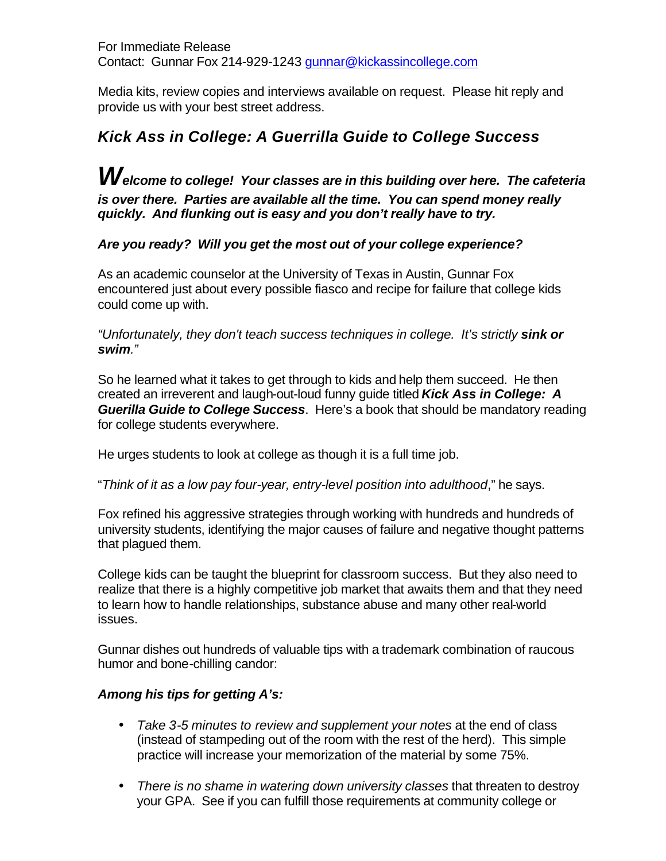For Immediate Release Contact: Gunnar Fox 214-929-1243 gunnar@kickassincollege.com

Media kits, review copies and interviews available on request. Please hit reply and provide us with your best street address.

# *Kick Ass in College: A Guerrilla Guide to College Success*

*Welcome to college! Your classes are in this building over here. The cafeteria is over there. Parties are available all the time. You can spend money really quickly. And flunking out is easy and you don't really have to try.*

### *Are you ready? Will you get the most out of your college experience?*

As an academic counselor at the University of Texas in Austin, Gunnar Fox encountered just about every possible fiasco and recipe for failure that college kids could come up with.

*"Unfortunately, they don't teach success techniques in college. It's strictly sink or swim."*

So he learned what it takes to get through to kids and help them succeed. He then created an irreverent and laugh-out-loud funny guide titled *Kick Ass in College: A Guerilla Guide to College Success*. Here's a book that should be mandatory reading for college students everywhere.

He urges students to look at college as though it is a full time job.

"*Think of it as a low pay four-year, entry-level position into adulthood*," he says.

Fox refined his aggressive strategies through working with hundreds and hundreds of university students, identifying the major causes of failure and negative thought patterns that plagued them.

College kids can be taught the blueprint for classroom success. But they also need to realize that there is a highly competitive job market that awaits them and that they need to learn how to handle relationships, substance abuse and many other real-world issues.

Gunnar dishes out hundreds of valuable tips with a trademark combination of raucous humor and bone-chilling candor:

### *Among his tips for getting A's:*

- *Take 3-5 minutes to review and supplement your notes* at the end of class (instead of stampeding out of the room with the rest of the herd). This simple practice will increase your memorization of the material by some 75%.
- *There is no shame in watering down university classes* that threaten to destroy your GPA. See if you can fulfill those requirements at community college or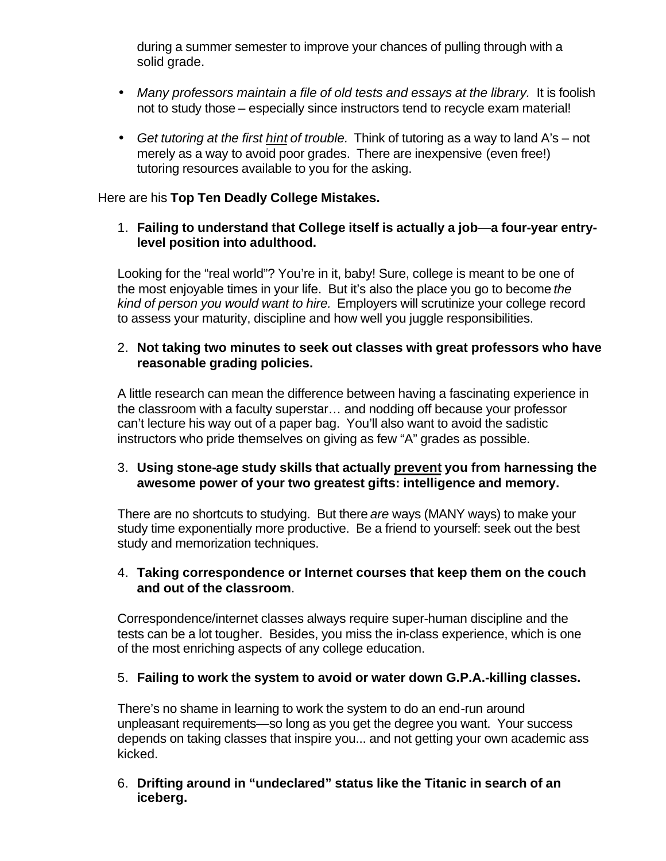during a summer semester to improve your chances of pulling through with a solid grade.

- Many professors maintain a file of old tests and essays at the library. It is foolish not to study those – especially since instructors tend to recycle exam material!
- *Get tutoring at the first hint of trouble.* Think of tutoring as a way to land A's not merely as a way to avoid poor grades. There are inexpensive (even free!) tutoring resources available to you for the asking.

#### Here are his **Top Ten Deadly College Mistakes.**

1. **Failing to understand that College itself is actually a job**—**a four-year entrylevel position into adulthood.** 

Looking for the "real world"? You're in it, baby! Sure, college is meant to be one of the most enjoyable times in your life. But it's also the place you go to become *the kind of person you would want to hire.* Employers will scrutinize your college record to assess your maturity, discipline and how well you juggle responsibilities.

#### 2. **Not taking two minutes to seek out classes with great professors who have reasonable grading policies.**

A little research can mean the difference between having a fascinating experience in the classroom with a faculty superstar… and nodding off because your professor can't lecture his way out of a paper bag. You'll also want to avoid the sadistic instructors who pride themselves on giving as few "A" grades as possible.

#### 3. **Using stone-age study skills that actually prevent you from harnessing the awesome power of your two greatest gifts: intelligence and memory.**

There are no shortcuts to studying. But there *are* ways (MANY ways) to make your study time exponentially more productive. Be a friend to yourself: seek out the best study and memorization techniques.

#### 4. **Taking correspondence or Internet courses that keep them on the couch and out of the classroom**.

Correspondence/internet classes always require super-human discipline and the tests can be a lot tougher. Besides, you miss the in-class experience, which is one of the most enriching aspects of any college education.

### 5. **Failing to work the system to avoid or water down G.P.A.-killing classes.**

There's no shame in learning to work the system to do an end-run around unpleasant requirements—so long as you get the degree you want. Your success depends on taking classes that inspire you... and not getting your own academic ass kicked.

#### 6. **Drifting around in "undeclared" status like the Titanic in search of an iceberg.**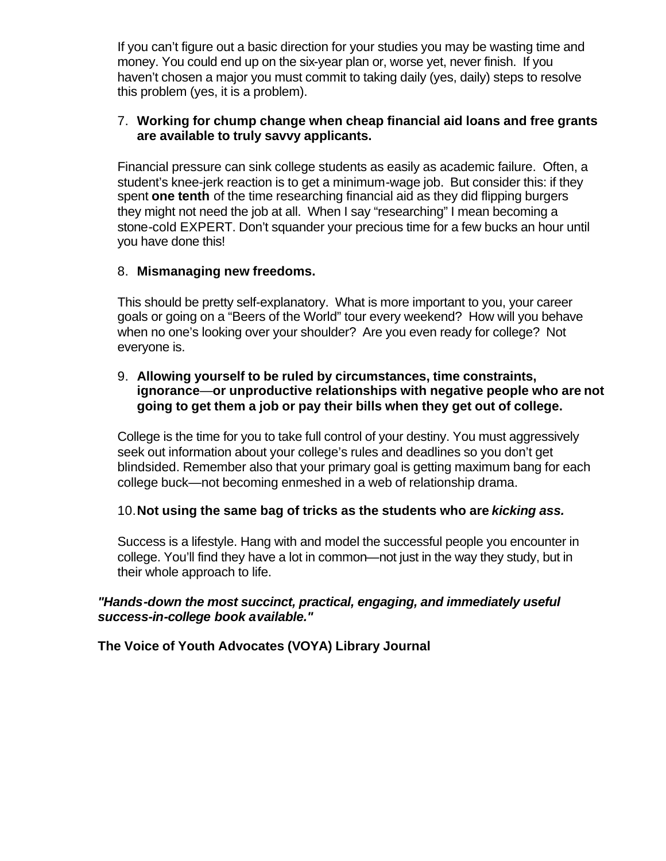If you can't figure out a basic direction for your studies you may be wasting time and money. You could end up on the six-year plan or, worse yet, never finish. If you haven't chosen a major you must commit to taking daily (yes, daily) steps to resolve this problem (yes, it is a problem).

#### 7. **Working for chump change when cheap financial aid loans and free grants are available to truly savvy applicants.**

Financial pressure can sink college students as easily as academic failure. Often, a student's knee-jerk reaction is to get a minimum-wage job. But consider this: if they spent **one tenth** of the time researching financial aid as they did flipping burgers they might not need the job at all. When I say "researching" I mean becoming a stone-cold EXPERT. Don't squander your precious time for a few bucks an hour until you have done this!

#### 8. **Mismanaging new freedoms.**

This should be pretty self-explanatory. What is more important to you, your career goals or going on a "Beers of the World" tour every weekend? How will you behave when no one's looking over your shoulder? Are you even ready for college? Not everyone is.

#### 9. **Allowing yourself to be ruled by circumstances, time constraints, ignorance**—**or unproductive relationships with negative people who are not going to get them a job or pay their bills when they get out of college.**

College is the time for you to take full control of your destiny. You must aggressively seek out information about your college's rules and deadlines so you don't get blindsided. Remember also that your primary goal is getting maximum bang for each college buck—not becoming enmeshed in a web of relationship drama.

#### 10.**Not using the same bag of tricks as the students who are** *kicking ass.*

Success is a lifestyle. Hang with and model the successful people you encounter in college. You'll find they have a lot in common—not just in the way they study, but in their whole approach to life.

#### *"Hands-down the most succinct, practical, engaging, and immediately useful success-in-college book available."*

**The Voice of Youth Advocates (VOYA) Library Journal**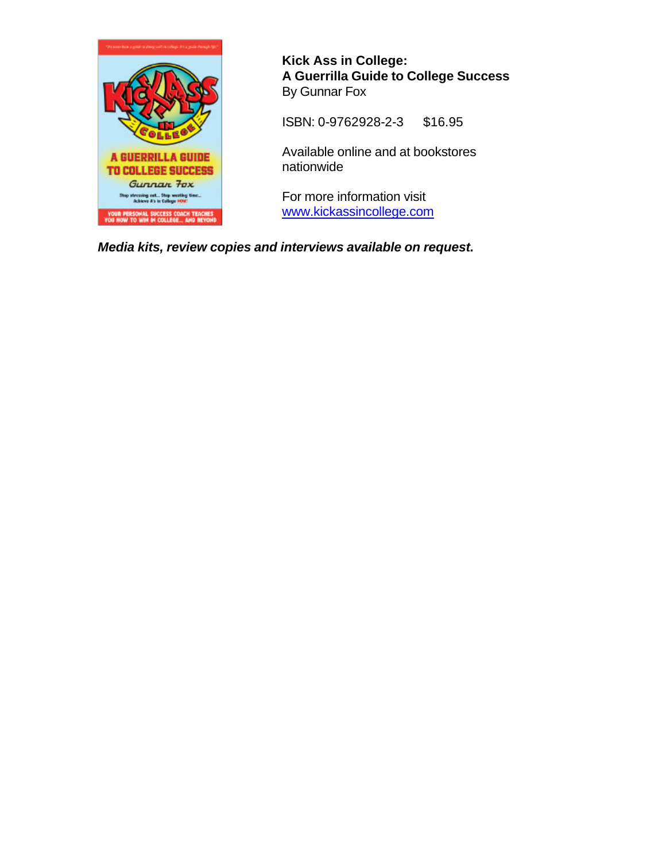

**Kick Ass in College: A Guerrilla Guide to College Success** By Gunnar Fox

ISBN: 0-9762928-2-3 \$16.95

Available online and at bookstores nationwide

For more information visit www.kickassincollege.com

*Media kits, review copies and interviews available on request.*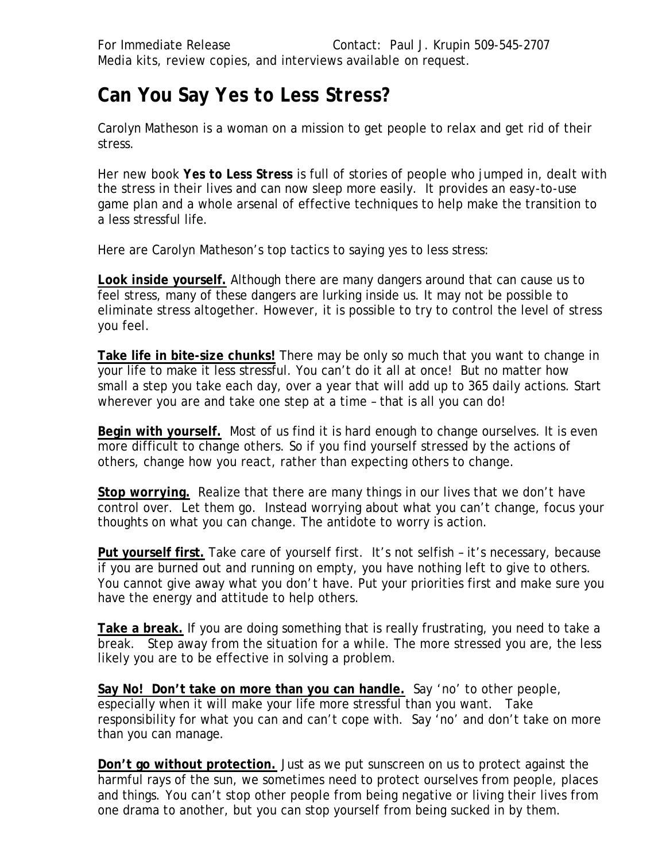# **Can You Say** *Yes to Less Stress?*

Carolyn Matheson is a woman on a mission to get people to relax and get rid of their stress.

Her new book *Yes to Less Stress* is full of stories of people who jumped in, dealt with the stress in their lives and can now sleep more easily. It provides an easy-to-use game plan and a whole arsenal of effective techniques to help make the transition to a less stressful life.

Here are Carolyn Matheson's top tactics to saying yes to less stress:

**Look inside yourself.** Although there are many dangers around that can cause us to feel stress, many of these dangers are lurking inside us. It may not be possible to eliminate stress altogether. However, it is possible to try to control the level of stress you feel.

**Take life in bite-size chunks!** There may be only so much that you want to change in your life to make it less stressful. You can't do it all at once! But no matter how small a step you take each day, over a year that will add up to 365 daily actions. Start wherever you are and take one step at a time – that is all you can do!

**Begin with yourself.** Most of us find it is hard enough to change ourselves. It is even more difficult to change others. So if you find yourself stressed by the actions of others, change how you react, rather than expecting others to change.

**Stop worrying.** Realize that there are many things in our lives that we don't have control over. Let them go. Instead worrying about what you can't change, focus your thoughts on what you can change. The antidote to worry is action.

**Put yourself first.** Take care of yourself first. It's not selfish – it's necessary, because if you are burned out and running on empty, you have nothing left to give to others. You cannot give away what you don't have. Put your priorities first and make sure you have the energy and attitude to help others.

**Take a break.** If you are doing something that is really frustrating, you need to take a break. Step away from the situation for a while. The more stressed you are, the less likely you are to be effective in solving a problem.

**Say No! Don't take on more than you can handle.** Say 'no' to other people, especially when it will make your life more stressful than you want. Take responsibility for what you can and can't cope with. Say 'no' and don't take on more than you can manage.

**Don't go without protection.** Just as we put sunscreen on us to protect against the harmful rays of the sun, we sometimes need to protect ourselves from people, places and things. You can't stop other people from being negative or living their lives from one drama to another, but you can stop yourself from being sucked in by them.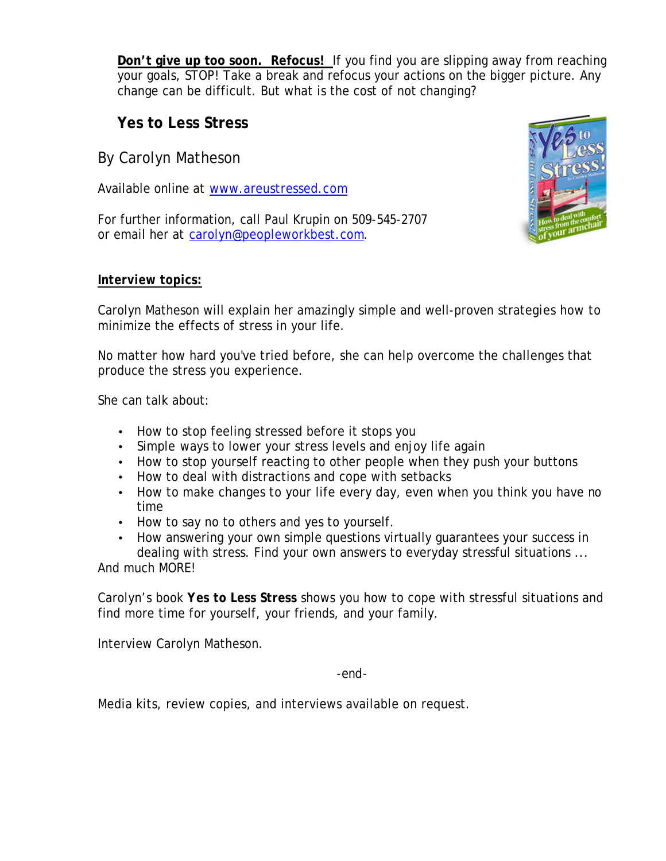**Don't give up too soon. Refocus!** If you find you are slipping away from reaching your goals, STOP! Take a break and refocus your actions on the bigger picture. Any change can be difficult. But what is the cost of not changing?

# **Yes to Less Stress**

By Carolyn Matheson

Available online at www.areustressed.com

For further information, call Paul Krupin on 509-545-2707 or email her at carolyn@peopleworkbest.com.



### *Interview topics:*

Carolyn Matheson will explain her amazingly simple and well-proven strategies how to minimize the effects of stress in your life.

No matter how hard you've tried before, she can help overcome the challenges that produce the stress you experience.

She can talk about:

- How to stop feeling stressed before it stops you
- Simple ways to lower your stress levels and enjoy life again
- How to stop yourself reacting to other people when they push your buttons
- How to deal with distractions and cope with setbacks
- How to make changes to your life every day, even when you think you have no time
- How to say no to others and yes to yourself.
- How answering your own simple questions virtually guarantees your success in dealing with stress. Find your own answers to everyday stressful situations ...

And much MORE!

Carolyn's book *Yes to Less Stress* shows you how to cope with stressful situations and find more time for yourself, your friends, and your family.

Interview Carolyn Matheson.

-end-

Media kits, review copies, and interviews available on request.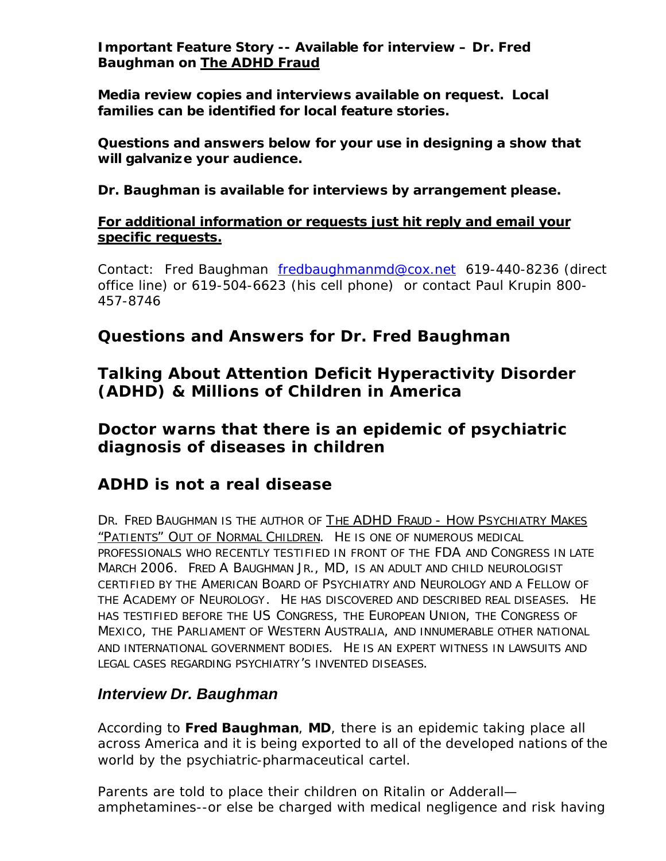**Important Feature Story -- Available for interview – Dr. Fred Baughman on** *The ADHD Fraud*

*Media review copies and interviews available on request. Local families can be identified for local feature stories.* 

*Questions and answers below for your use in designing a show that will galvanize your audience.*

*Dr. Baughman is available for interviews by arrangement please.* 

### *For additional information or requests just hit reply and email your specific requests.*

Contact: Fred Baughman fredbaughmanmd@cox.net 619-440-8236 (direct office line) or 619-504-6623 (his cell phone) or contact Paul Krupin 800- 457-8746

# *Questions and Answers for Dr. Fred Baughman*

# *Talking About Attention Deficit Hyperactivity Disorder (ADHD) & Millions of Children in America*

# *Doctor warns that there is an epidemic of psychiatric diagnosis of diseases in children*

# *ADHD is not a real disease*

*DR. FRED BAUGHMAN IS THE AUTHOR OF THE ADHD FRAUD - HOW PSYCHIATRY MAKES "PATIENTS" OUT OF NORMAL CHILDREN. HE IS ONE OF NUMEROUS MEDICAL PROFESSIONALS WHO RECENTLY TESTIFIED IN FRONT OF THE FDA AND CONGRESS IN LATE MARCH 2006. FRED A BAUGHMAN JR., MD, IS AN ADULT AND CHILD NEUROLOGIST CERTIFIED BY THE AMERICAN BOARD OF PSYCHIATRY AND NEUROLOGY AND A FELLOW OF THE ACADEMY OF NEUROLOGY. HE HAS DISCOVERED AND DESCRIBED REAL DISEASES. HE HAS TESTIFIED BEFORE THE US CONGRESS, THE EUROPEAN UNION, THE CONGRESS OF MEXICO, THE PARLIAMENT OF WESTERN AUSTRALIA, AND INNUMERABLE OTHER NATIONAL AND INTERNATIONAL GOVERNMENT BODIES. HE IS AN EXPERT WITNESS IN LAWSUITS AND LEGAL CASES REGARDING PSYCHIATRY'S INVENTED DISEASES.* 

# *Interview Dr. Baughman*

According to **Fred Baughman**, **MD**, there is an epidemic taking place all across America and it is being exported to all of the developed nations of the world by the psychiatric-pharmaceutical cartel.

Parents are told to place their children on Ritalin or Adderall amphetamines--or else be charged with medical negligence and risk having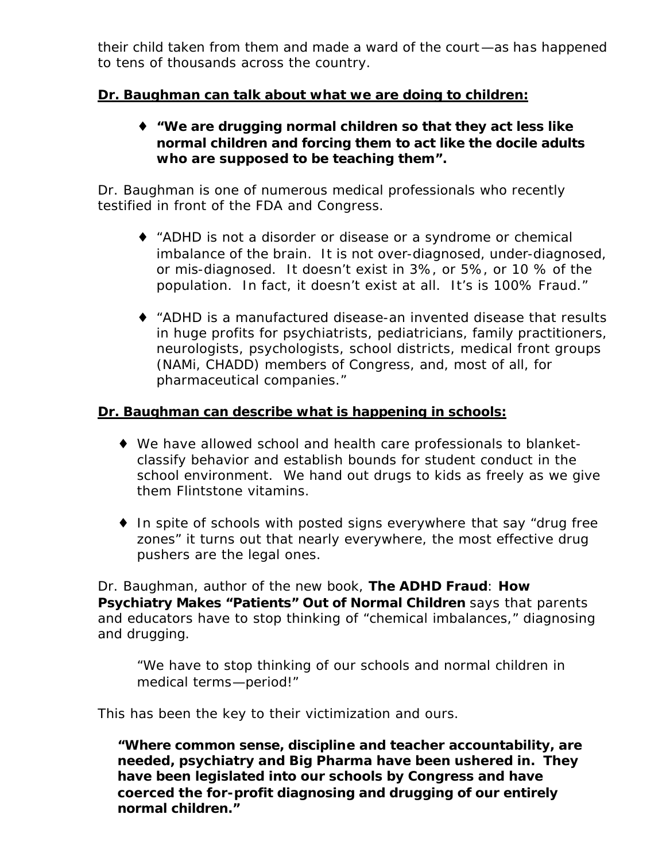their child taken from them and made a ward of the court—as has happened to tens of thousands across the country.

### *Dr. Baughman can talk about what we are doing to children:*

♦ **"We are drugging normal children so that they act less like normal children and forcing them to act like the docile adults who are supposed to be teaching them".**

Dr. Baughman is one of numerous medical professionals who recently testified in front of the FDA and Congress.

- ♦ *"ADHD is not a disorder or disease or a syndrome or chemical imbalance of the brain. It is not over-diagnosed, under-diagnosed, or mis-diagnosed. It doesn't exist in 3%, or 5%, or 10 % of the population. In fact, it doesn't exist at all. It's is 100% Fraud."*
- ♦ *"ADHD is a manufactured disease-an invented disease that results in huge profits for psychiatrists, pediatricians, family practitioners, neurologists, psychologists, school districts, medical front groups (NAMi, CHADD) members of Congress, and, most of all, for pharmaceutical companies."*

### *Dr. Baughman can describe what is happening in schools:*

- ♦ We have allowed school and health care professionals to blanketclassify behavior and establish bounds for student conduct in the school environment. We hand out drugs to kids as freely as we give them Flintstone vitamins.
- ♦ In spite of schools with posted signs everywhere that say "drug free zones" it turns out that nearly everywhere, the most effective drug pushers are the legal ones.

Dr. Baughman, author of the new book, *The ADHD Fraud*: *How Psychiatry Makes "Patients" Out of Normal Children* says that parents and educators have to stop thinking of "chemical imbalances," diagnosing and drugging.

*"We have to stop thinking of our schools and normal children in medical terms—period!"* 

This has been the key to their victimization and ours.

**"Where common sense, discipline and teacher accountability, are needed, psychiatry and Big Pharma have been ushered in. They have been legislated into our schools by Congress and have coerced the for-profit diagnosing and drugging of our entirely normal children."**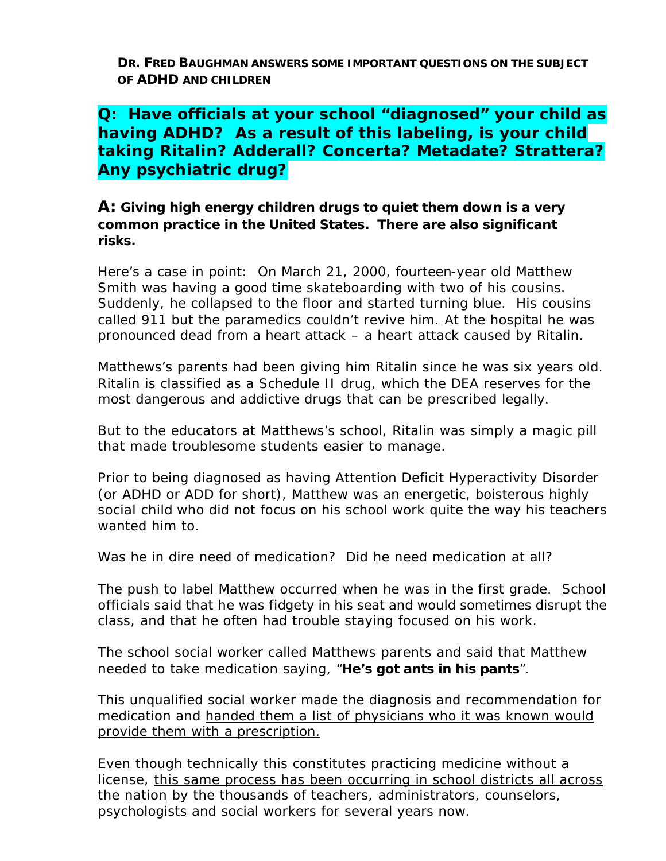**DR. FRED BAUGHMAN ANSWERS SOME IMPORTANT QUESTIONS ON THE SUBJECT OF ADHD AND CHILDREN**

# *Q: Have officials at your school "diagnosed" your child as having ADHD? As a result of this labeling, is your child taking Ritalin? Adderall? Concerta? Metadate? Strattera? Any psychiatric drug?*

*A:* **Giving high energy children drugs to quiet them down is a very common practice in the United States. There are also significant risks.** 

Here's a case in point: On March 21, 2000, fourteen-year old Matthew Smith was having a good time skateboarding with two of his cousins. Suddenly, he collapsed to the floor and started turning blue. His cousins called 911 but the paramedics couldn't revive him. At the hospital he was pronounced dead from a heart attack – a heart attack caused by Ritalin.

Matthews's parents had been giving him Ritalin since he was six years old. Ritalin is classified as a Schedule II drug, which the DEA reserves for the most dangerous and addictive drugs that can be prescribed legally.

But to the educators at Matthews's school, Ritalin was simply a magic pill that made troublesome students easier to manage.

Prior to being diagnosed as having Attention Deficit Hyperactivity Disorder (or ADHD or ADD for short), Matthew was an energetic, boisterous highly social child who did not focus on his school work quite the way his teachers wanted him to.

*Was he in dire need of medication? Did he need medication at all?*

The push to label Matthew occurred when he was in the first grade. School officials said that he was fidgety in his seat and would sometimes disrupt the class, and that he often had trouble staying focused on his work.

The school social worker called Matthews parents and said that Matthew needed to take medication saying, "*He's got ants in his pants*".

This unqualified social worker made the diagnosis and recommendation for medication and handed them a list of physicians who it was known would provide them with a prescription.

Even though technically this constitutes practicing medicine without a license, *this same process has been occurring in school districts all across the nation* by the thousands of teachers, administrators, counselors, psychologists and social workers for several years now.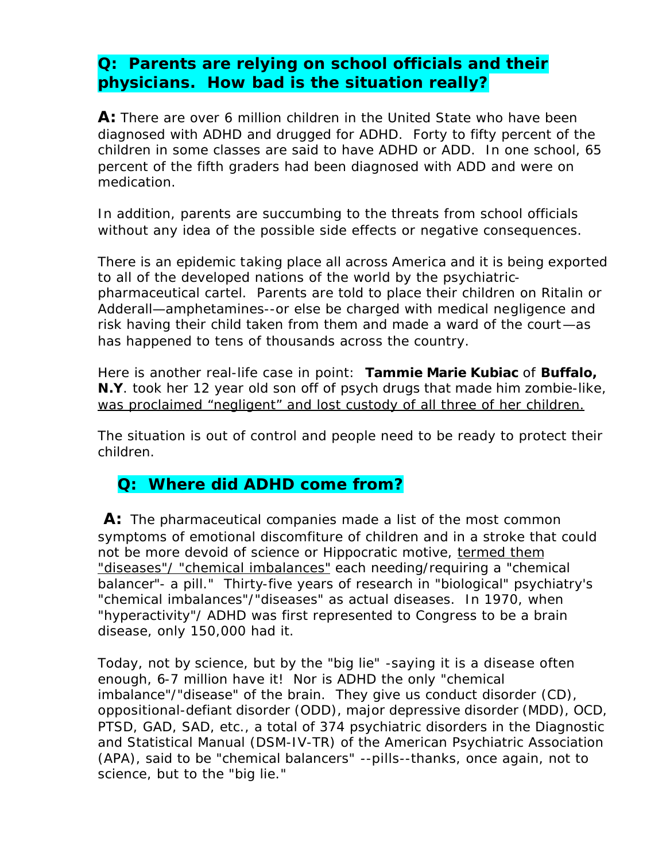# *Q: Parents are relying on school officials and their physicians. How bad is the situation really?*

**A:** There are over 6 million children in the United State who have been diagnosed with ADHD and drugged for ADHD. Forty to fifty percent of the children in some classes are said to have ADHD or ADD. In one school, 65 percent of the fifth graders had been diagnosed with ADD and were on medication.

In addition, parents are succumbing to the threats from school officials without any idea of the possible side effects or negative consequences.

There is an epidemic taking place all across America and it is being exported to all of the developed nations of the world by the psychiatricpharmaceutical cartel. Parents are told to place their children on Ritalin or Adderall—amphetamines--or else be charged with medical negligence and risk having their child taken from them and made a ward of the court—as has happened to tens of thousands across the country.

Here is another real-life case in point: **Tammie Marie Kubiac** of **Buffalo, N.Y**. took her 12 year old son off of psych drugs that made him zombie-like, *was proclaimed "negligent" and lost custody of all three of her children.*

The situation is out of control and people need to be ready to protect their children.

# **Q: Where did ADHD come from?**

A: The pharmaceutical companies made a list of the most common symptoms of emotional discomfiture of children and in a stroke that could not be more devoid of science or Hippocratic motive, *termed them "diseases"/ "chemical imbalances"* each needing/requiring a "chemical balancer"- a pill." Thirty-five years of research in "biological" psychiatry's "chemical imbalances"/"diseases" as actual diseases. In 1970, when "hyperactivity"/ ADHD was first represented to Congress to be a brain disease, only 150,000 had it.

Today, not by science, but by the "big lie" -saying it is a disease often enough, 6-7 million have it! Nor is ADHD the only "chemical imbalance"/"disease" of the brain. They give us conduct disorder (CD), oppositional-defiant disorder (ODD), major depressive disorder (MDD), OCD, PTSD, GAD, SAD, etc., a total of 374 psychiatric disorders in the Diagnostic and Statistical Manual (DSM-IV-TR) of the American Psychiatric Association (APA), said to be "chemical balancers" --pills--thanks, once again, not to science, but to the "big lie."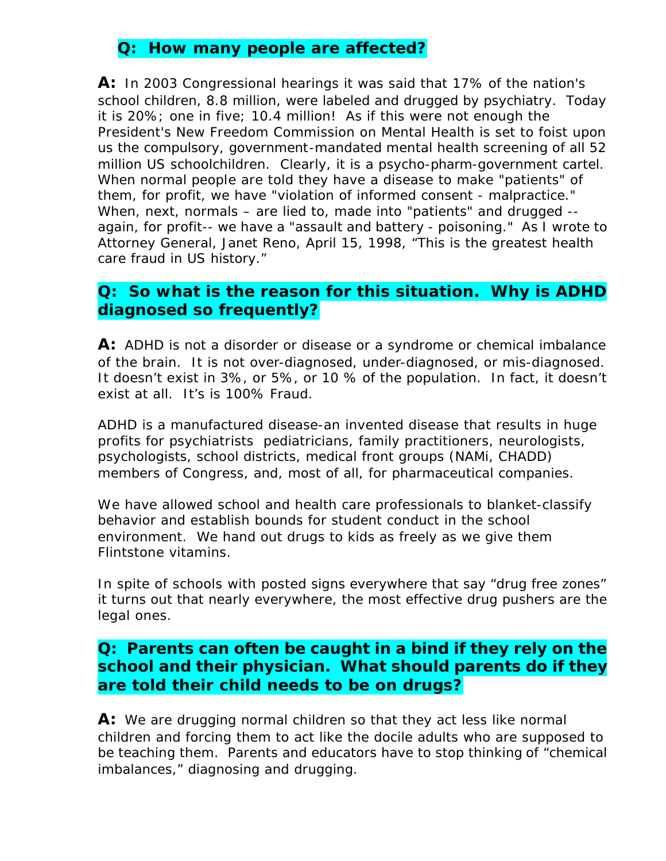### **Q: How many people are affected?**

A: In 2003 Congressional hearings it was said that 17% of the nation's school children, 8.8 million, were labeled and drugged by psychiatry. Today it is 20%; one in five; 10.4 million! As if this were not enough the President's New Freedom Commission on Mental Health is set to foist upon us the compulsory, government-mandated mental health screening of all 52 million US schoolchildren. Clearly, it is a psycho-pharm-government cartel. When normal people are told they have a disease to make "patients" of them, for profit, we have "violation of informed consent - malpractice." When, next, normals – are lied to, made into "patients" and drugged - again, for profit-- we have a "assault and battery - poisoning." As I wrote to Attorney General, Janet Reno, April 15, 1998, "This is the greatest health care fraud in US history."

### *Q: So what is the reason for this situation. Why is ADHD diagnosed so frequently?*

A: ADHD is not a disorder or disease or a syndrome or chemical imbalance of the brain. It is not over-diagnosed, under-diagnosed, or mis-diagnosed. It doesn't exist in 3%, or 5%, or 10 % of the population. In fact, it doesn't exist at all. It's is 100% Fraud.

ADHD is a manufactured disease-an invented disease that results in huge profits for psychiatrists pediatricians, family practitioners, neurologists, psychologists, school districts, medical front groups (NAMi, CHADD) members of Congress, and, most of all, for pharmaceutical companies.

We have allowed school and health care professionals to blanket-classify behavior and establish bounds for student conduct in the school environment. We hand out drugs to kids as freely as we give them Flintstone vitamins.

In spite of schools with posted signs everywhere that say "drug free zones" it turns out that nearly everywhere, the most effective drug pushers are the legal ones.

### **Q: Parents can often be caught in a bind if they rely on the school and their physician. What should parents do if they are told their child needs to be on drugs?**

A: We are drugging normal children so that they act less like normal children and forcing them to act like the docile adults who are supposed to be teaching them. Parents and educators have to stop thinking of "chemical imbalances," diagnosing and drugging.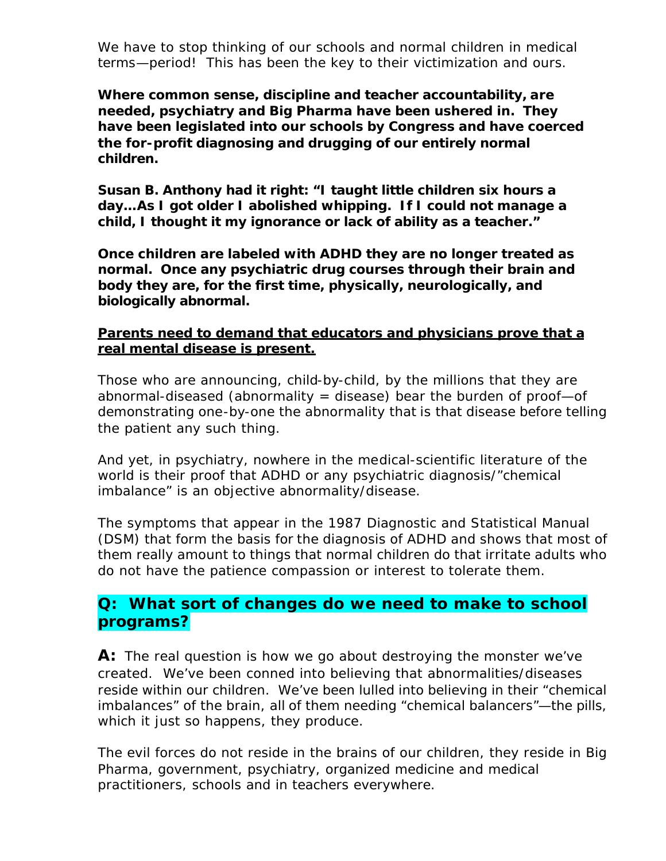We have to stop thinking of our schools and normal children in medical terms—period! This has been the key to their victimization and ours.

*Where common sense, discipline and teacher accountability, are needed, psychiatry and Big Pharma have been ushered in. They have been legislated into our schools by Congress and have coerced the for-profit diagnosing and drugging of our entirely normal children.*

*Susan B. Anthony had it right: "I taught little children six hours a day…As I got older I abolished whipping. If I could not manage a child, I thought it my ignorance or lack of ability as a teacher."* 

*Once children are labeled with ADHD they are no longer treated as normal. Once any psychiatric drug courses through their brain and body they are, for the first time, physically, neurologically, and biologically abnormal.*

### **Parents need to demand that educators and physicians prove that a real mental disease is present.**

Those who are announcing, child-by-child, by the millions that they are abnormal-diseased (abnormality  $=$  disease) bear the burden of proof-of demonstrating one-by-one the abnormality that *is* that disease before telling the patient any such thing.

And yet, in psychiatry, nowhere in the medical-scientific literature of the world is their proof that ADHD or any psychiatric diagnosis/"chemical imbalance" is an objective abnormality/disease.

The symptoms that appear in the 1987 Diagnostic and Statistical Manual (DSM) that form the basis for the diagnosis of ADHD and shows that most of them really amount to things that normal children do that irritate adults who do not have the patience compassion or interest to tolerate them.

### **Q: What sort of changes do we need to make to school** *programs?*

A: The real question is how we go about destroying the monster we've created. We've been conned into believing that abnormalities/diseases reside within our children. We've been lulled into believing in their "chemical imbalances" of the brain, all of them needing "chemical balancers"—the pills, which it just so happens, they produce.

The evil forces do not reside in the brains of our children, they reside in Big Pharma, government, psychiatry, organized medicine and medical practitioners, schools and in teachers everywhere.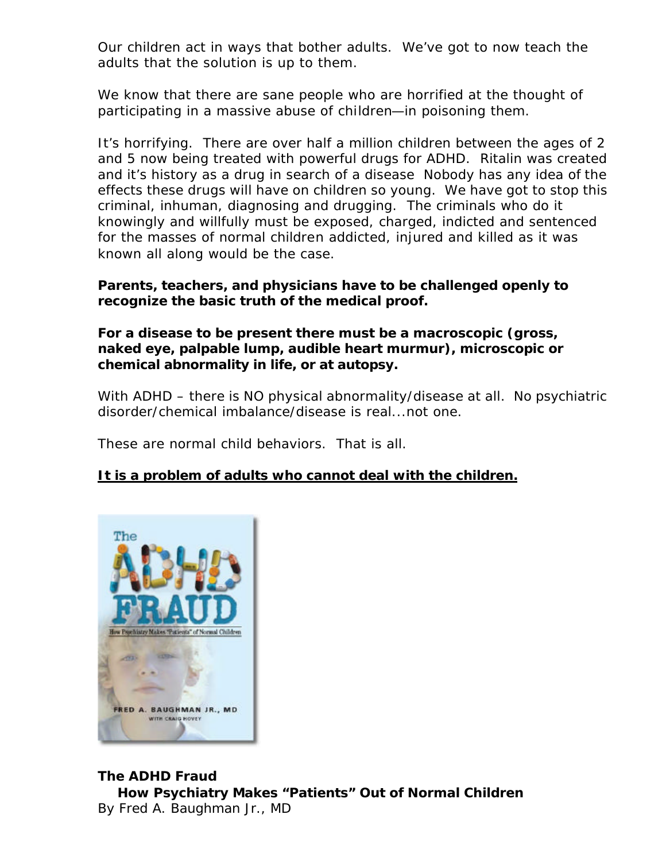Our children act in ways that bother adults. We've got to now teach the adults that the solution is up to them.

We know that there are sane people who are horrified at the thought of participating in a massive abuse of children—in poisoning them.

It's horrifying. There are over half a million children between the ages of 2 and 5 now being treated with powerful drugs for ADHD. Ritalin was created and it's history as a drug in search of a disease Nobody has any idea of the effects these drugs will have on children so young. We have got to stop this criminal, inhuman, diagnosing and drugging. The criminals who do it knowingly and willfully must be exposed, charged, indicted and sentenced for the masses of normal children addicted, injured and killed as it was known all along would be the case.

### *Parents, teachers, and physicians have to be challenged openly to recognize the basic truth of the medical proof.*

### *For a disease to be present there must be a macroscopic (gross, naked eye, palpable lump, audible heart murmur), microscopic or chemical abnormality in life, or at autopsy.*

With ADHD – there is NO physical abnormality/disease at all. No psychiatric disorder/chemical imbalance/disease is real...not one.

These are normal child behaviors. That is all.

### *It is a problem of adults who cannot deal with the children.*



### *The ADHD Fraud* **How Psychiatry Makes "Patients" Out of Normal Children** By Fred A. Baughman Jr., MD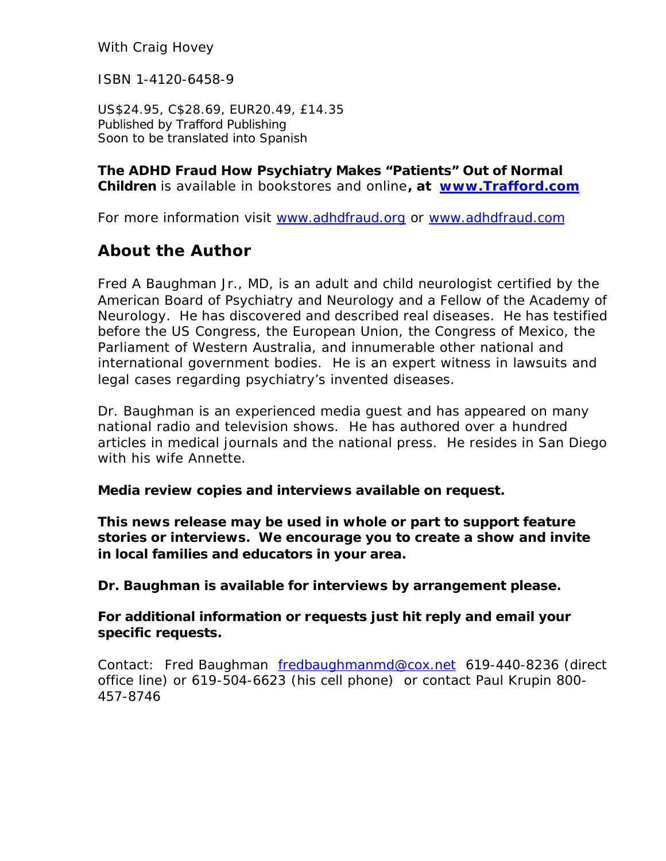With Craig Hovey

ISBN 1-4120-6458-9

US\$24.95, C\$28.69, EUR20.49, £14.35 Published by Trafford Publishing Soon to be translated into Spanish

*The ADHD Fraud* **How Psychiatry Makes "Patients" Out of Normal Children** is available in bookstores and online**, at www.Trafford.com**

For more information visit www.adhdfraud.org or www.adhdfraud.com

# *About the Author*

Fred A Baughman Jr., MD, is an adult and child neurologist certified by the American Board of Psychiatry and Neurology and a Fellow of the Academy of Neurology. He has discovered and described real diseases. He has testified before the US Congress, the European Union, the Congress of Mexico, the Parliament of Western Australia, and innumerable other national and international government bodies. He is an expert witness in lawsuits and legal cases regarding psychiatry's invented diseases.

Dr. Baughman is an experienced media guest and has appeared on many national radio and television shows. He has authored over a hundred articles in medical journals and the national press. He resides in San Diego with his wife Annette.

#### *Media review copies and interviews available on request.*

*This news release may be used in whole or part to support feature stories or interviews. We encourage you to create a show and invite in local families and educators in your area.* 

*Dr. Baughman is available for interviews by arrangement please.* 

### *For additional information or requests just hit reply and email your specific requests.*

Contact: Fred Baughman fredbaughmanmd@cox.net 619-440-8236 (direct office line) or 619-504-6623 (his cell phone) or contact Paul Krupin 800- 457-8746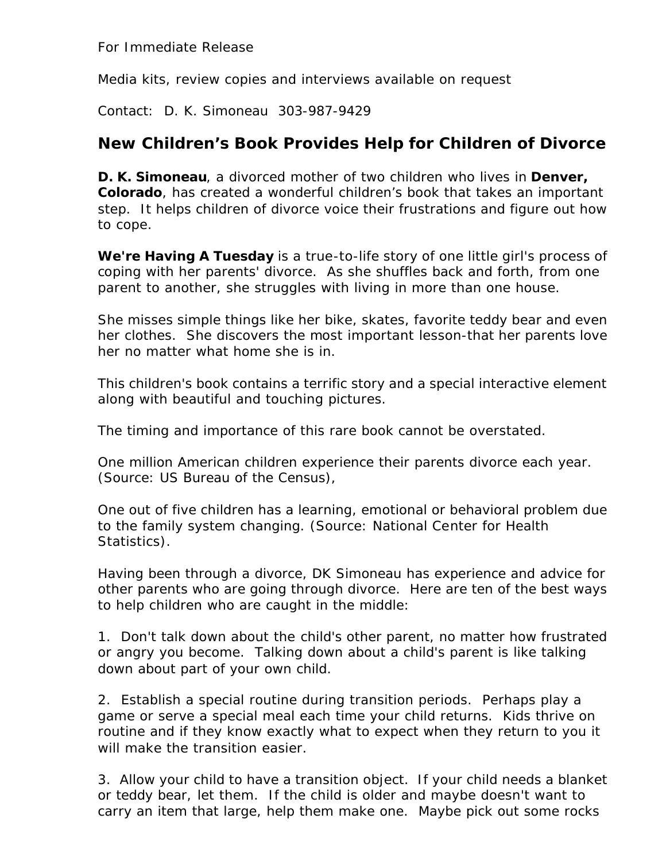For Immediate Release

Media kits, review copies and interviews available on request

Contact: D. K. Simoneau 303-987-9429

### **New Children's Book Provides Help for Children of Divorce**

**D. K. Simoneau**, a divorced mother of two children who lives in **Denver, Colorado**, has created a wonderful children's book that takes an important step. It helps children of divorce voice their frustrations and figure out how to cope.

*We're Having A Tuesday* is a true-to-life story of one little girl's process of coping with her parents' divorce. As she shuffles back and forth, from one parent to another, she struggles with living in more than one house.

She misses simple things like her bike, skates, favorite teddy bear and even her clothes. She discovers the most important lesson-that her parents love her no matter what home she is in.

This children's book contains a terrific story and a special interactive element along with beautiful and touching pictures.

The timing and importance of this rare book cannot be overstated.

One million American children experience their parents divorce each year. (Source: US Bureau of the Census),

One out of five children has a learning, emotional or behavioral problem due to the family system changing. (Source: National Center for Health Statistics).

Having been through a divorce, DK Simoneau has experience and advice for other parents who are going through divorce. Here are ten of the best ways to help children who are caught in the middle:

1. Don't talk down about the child's other parent, no matter how frustrated or angry you become. Talking down about a child's parent is like talking down about part of your own child.

2. Establish a special routine during transition periods. Perhaps play a game or serve a special meal each time your child returns. Kids thrive on routine and if they know exactly what to expect when they return to you it will make the transition easier.

3. Allow your child to have a transition object. If your child needs a blanket or teddy bear, let them. If the child is older and maybe doesn't want to carry an item that large, help them make one. Maybe pick out some rocks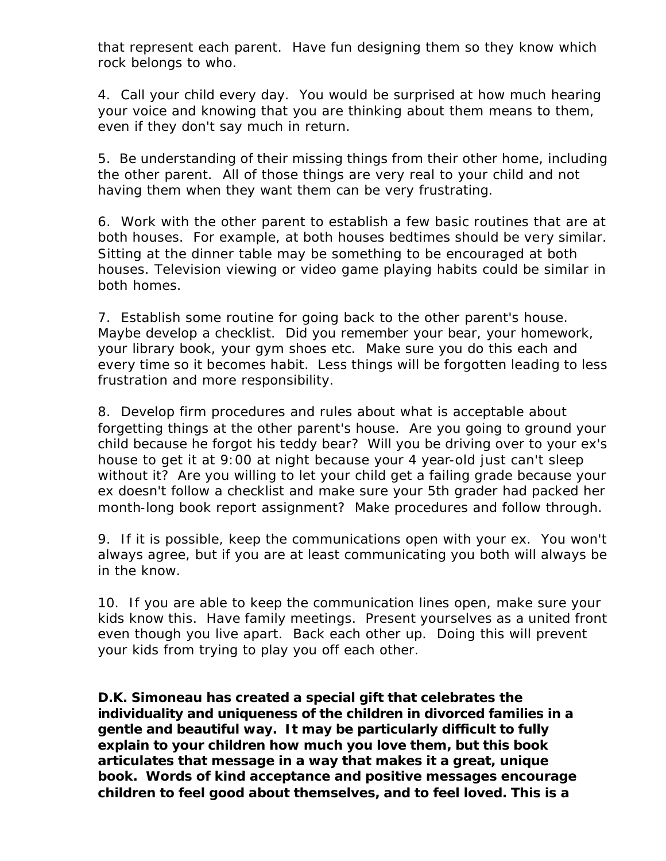that represent each parent. Have fun designing them so they know which rock belongs to who.

4. Call your child every day. You would be surprised at how much hearing your voice and knowing that you are thinking about them means to them, even if they don't say much in return.

5. Be understanding of their missing things from their other home, including the other parent. All of those things are very real to your child and not having them when they want them can be very frustrating.

6. Work with the other parent to establish a few basic routines that are at both houses. For example, at both houses bedtimes should be very similar. Sitting at the dinner table may be something to be encouraged at both houses. Television viewing or video game playing habits could be similar in both homes.

7. Establish some routine for going back to the other parent's house. Maybe develop a checklist. Did you remember your bear, your homework, your library book, your gym shoes etc. Make sure you do this each and every time so it becomes habit. Less things will be forgotten leading to less frustration and more responsibility.

8. Develop firm procedures and rules about what is acceptable about forgetting things at the other parent's house. Are you going to ground your child because he forgot his teddy bear? Will you be driving over to your ex's house to get it at 9:00 at night because your 4 year-old just can't sleep without it? Are you willing to let your child get a failing grade because your ex doesn't follow a checklist and make sure your 5th grader had packed her month-long book report assignment? Make procedures and follow through.

9. If it is possible, keep the communications open with your ex. You won't always agree, but if you are at least communicating you both will always be in the know.

10. If you are able to keep the communication lines open, make sure your kids know this. Have family meetings. Present yourselves as a united front even though you live apart. Back each other up. Doing this will prevent your kids from trying to play you off each other.

*D.K. Simoneau has created a special gift that celebrates the individuality and uniqueness of the children in divorced families in a gentle and beautiful way. It may be particularly difficult to fully explain to your children how much you love them, but this book articulates that message in a way that makes it a great, unique book. Words of kind acceptance and positive messages encourage children to feel good about themselves, and to feel loved. This is a*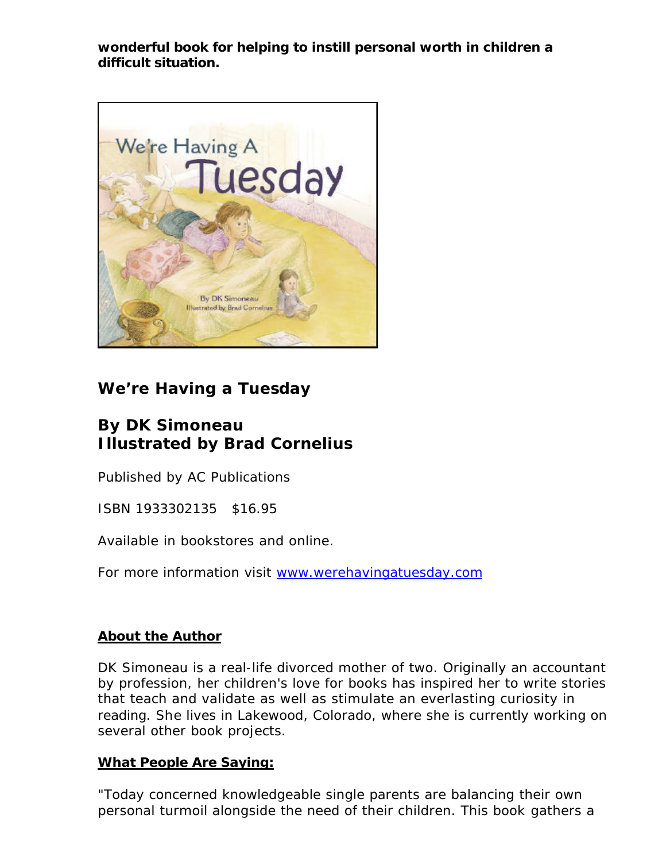*wonderful book for helping to instill personal worth in children a difficult situation.*



# **We're Having a Tuesday**

# **By DK Simoneau Illustrated by Brad Cornelius**

Published by AC Publications

ISBN 1933302135 \$16.95

Available in bookstores and online.

For more information visit www.werehavingatuesday.com

### *About the Author*

DK Simoneau is a real-life divorced mother of two. Originally an accountant by profession, her children's love for books has inspired her to write stories that teach and validate as well as stimulate an everlasting curiosity in reading. She lives in Lakewood, Colorado, where she is currently working on several other book projects.

### *What People Are Saying:*

"Today concerned knowledgeable single parents are balancing their own personal turmoil alongside the need of their children. This book gathers a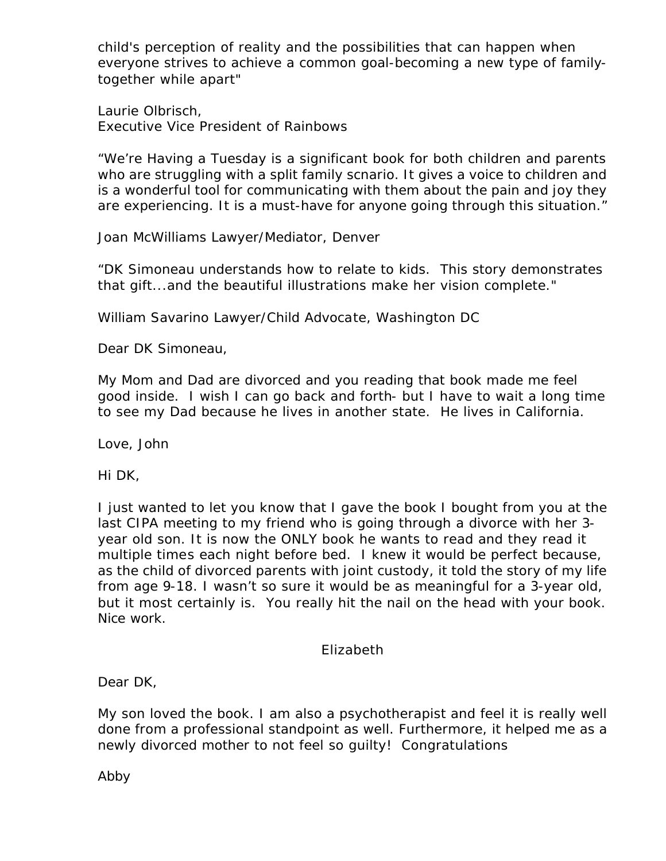child's perception of reality and the possibilities that can happen when everyone strives to achieve a common goal-becoming a new type of familytogether while apart"

Laurie Olbrisch, Executive Vice President of Rainbows

"We're Having a Tuesday is a significant book for both children and parents who are struggling with a split family scnario. It gives a voice to children and is a wonderful tool for communicating with them about the pain and joy they are experiencing. It is a must-have for anyone going through this situation."

Joan McWilliams Lawyer/Mediator, Denver

"DK Simoneau understands how to relate to kids. This story demonstrates that gift...and the beautiful illustrations make her vision complete."

William Savarino Lawyer/Child Advocate, Washington DC

Dear DK Simoneau,

My Mom and Dad are divorced and you reading that book made me feel good inside. I wish I can go back and forth- but I have to wait a long time to see my Dad because he lives in another state. He lives in California.

Love, John

Hi DK,

I just wanted to let you know that I gave the book I bought from you at the last CIPA meeting to my friend who is going through a divorce with her 3 year old son. It is now the ONLY book he wants to read and they read it multiple times each night before bed. I knew it would be perfect because, as the child of divorced parents with joint custody, it told the story of my life from age 9-18. I wasn't so sure it would be as meaningful for a 3-year old, but it most certainly is. You really hit the nail on the head with your book. Nice work.

Elizabeth

Dear DK,

My son loved the book. I am also a psychotherapist and feel it is really well done from a professional standpoint as well. Furthermore, it helped me as a newly divorced mother to not feel so guilty! Congratulations

Abby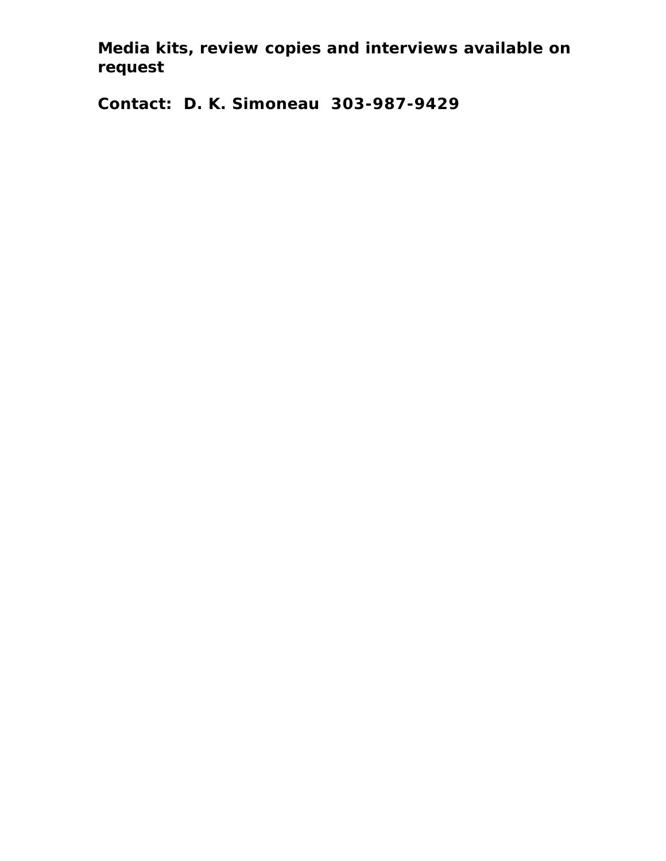**Media kits, review copies and interviews available on request**

**Contact: D. K. Simoneau 303-987-9429**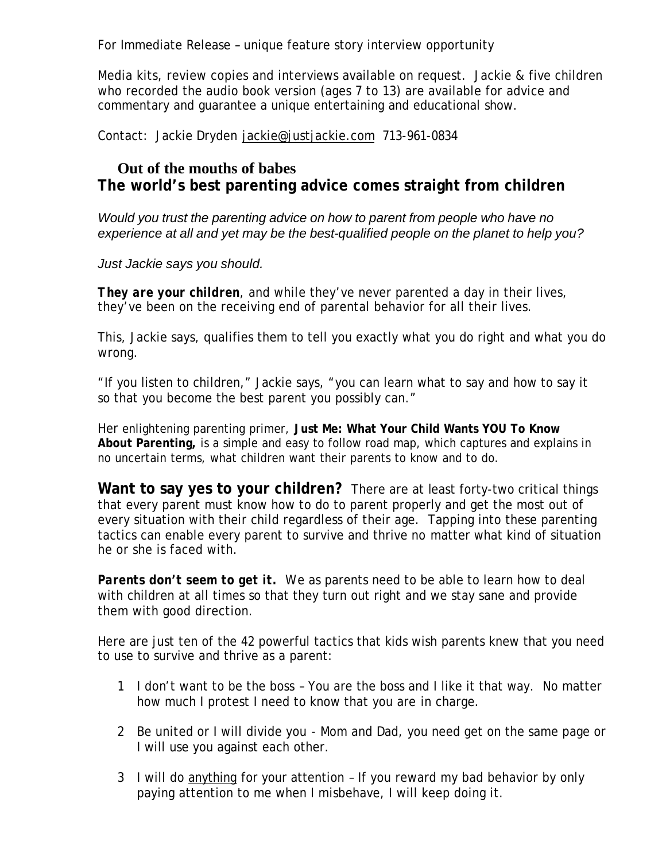For Immediate Release – unique feature story interview opportunity

Media kits, review copies and interviews available on request. Jackie & five children who recorded the audio book version (ages 7 to 13) are available for advice and commentary and guarantee a unique entertaining and educational show.

Contact: Jackie Dryden jackie@justjackie.com 713-961-0834

### **Out of the mouths of babes The world's best parenting advice comes straight from children**

*Would you trust the parenting advice on how to parent from people who have no experience at all and yet may be the best-qualified people on the planet to help you?* 

*Just Jackie says you should.*

*They are your children*, and while they've never parented a day in their lives, they've been on the receiving end of parental behavior for all their lives.

This, Jackie says, qualifies them to tell you exactly what you do right and what you do wrong.

"If you listen to children," Jackie says, "you can learn what to say and how to say it so that you become the best parent you possibly can."

Her enlightening parenting primer, **Just Me: What Your Child Wants YOU To Know About Parenting,** is a simple and easy to follow road map, which captures and explains in no uncertain terms, what children want their parents to know and to do.

**Want to say yes to your children?** There are at least forty-two critical things that every parent must know how to do to parent properly and get the most out of every situation with their child regardless of their age. Tapping into these parenting tactics can enable every parent to survive and thrive no matter what kind of situation he or she is faced with.

**Parents don't seem to get it.** We as parents need to be able to learn how to deal with children at all times so that they turn out right and we stay sane and provide them with good direction.

Here are just ten of the 42 powerful tactics that kids wish parents knew that you need to use to survive and thrive as a parent:

- 1 I don't want to be the boss You are the boss and I like it that way. No matter how much I protest I need to know that you are in charge.
- 2 Be united or I will divide you Mom and Dad, you need get on the same page or I will use you against each other.
- 3 I will do anything for your attention If you reward my bad behavior by only paying attention to me when I misbehave, I will keep doing it.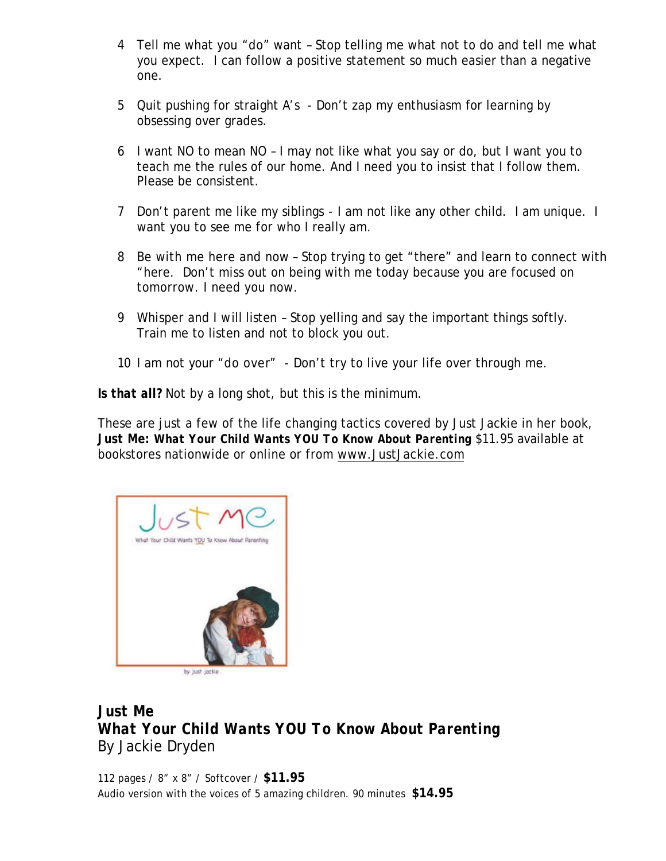- 4 Tell me what you "do" want Stop telling me what not to do and tell me what you expect. I can follow a positive statement so much easier than a negative one.
- 5 Quit pushing for straight A's Don't zap my enthusiasm for learning by obsessing over grades.
- 6 I want NO to mean NO I may not like what you say or do, but I want you to teach me the rules of our home. And I need you to insist that I follow them. Please be consistent.
- 7 Don't parent me like my siblings I am not like any other child. I am unique. I want you to see me for who I really am.
- 8 Be with me here and now Stop trying to get "there" and learn to connect with "here. Don't miss out on being with me today because you are focused on tomorrow. I need you now.
- 9 Whisper and I will listen Stop yelling and say the important things softly. Train me to listen and not to block you out.
- 10 I am not your "do over" Don't try to live your life over through me.

*Is that all?* Not by a long shot, but this is the minimum.

These are just a few of the life changing tactics covered by Just Jackie in her book, *Just Me: What Your Child Wants YOU To Know About Parenting* \$11.95 available at bookstores nationwide or online or from www.JustJackie.com



by just jackie

# *Just Me What Your Child Wants YOU To Know About Parenting* By Jackie Dryden

112 pages / 8" x 8" / Softcover / **\$11.95** Audio version with the voices of 5 amazing children. 90 minutes **\$14.95**